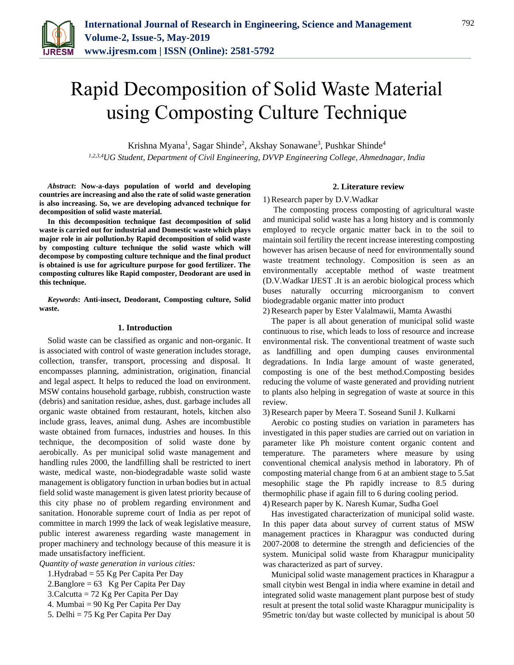

# Rapid Decomposition of Solid Waste Material using Composting Culture Technique

Krishna Myana<sup>1</sup>, Sagar Shinde<sup>2</sup>, Akshay Sonawane<sup>3</sup>, Pushkar Shinde<sup>4</sup> *1,2,3,4UG Student, Department of Civil Engineering, DVVP Engineering College, Ahmednagar, India*

*Abstract***: Now-a-days population of world and developing countries are increasing and also the rate of solid waste generation is also increasing. So, we are developing advanced technique for decomposition of solid waste material.**

**In this decomposition technique fast decomposition of solid waste is carried out for industrial and Domestic waste which plays major role in air pollution.by Rapid decomposition of solid waste by composting culture technique the solid waste which will decompose by composting culture technique and the final product is obtained is use for agriculture purpose for good fertilizer. The composting cultures like Rapid composter, Deodorant are used in this technique.**

*Keywords***: Anti-insect, Deodorant, Composting culture, Solid waste.**

## **1. Introduction**

Solid waste can be classified as organic and non-organic. It is associated with control of waste generation includes storage, collection, transfer, transport, processing and disposal. It encompasses planning, administration, origination, financial and legal aspect. It helps to reduced the load on environment. MSW contains household garbage, rubbish, construction waste (debris) and sanitation residue, ashes, dust. garbage includes all organic waste obtained from restaurant, hotels, kitchen also include grass, leaves, animal dung. Ashes are incombustible waste obtained from furnaces, industries and houses. In this technique, the decomposition of solid waste done by aerobically. As per municipal solid waste management and handling rules 2000, the landfilling shall be restricted to inert waste, medical waste, non-biodegradable waste solid waste management is obligatory function in urban bodies but in actual field solid waste management is given latest priority because of this city phase no of problem regarding environment and sanitation. Honorable supreme court of India as per repot of committee in march 1999 the lack of weak legislative measure, public interest awareness regarding waste management in proper machinery and technology because of this measure it is made unsatisfactory inefficient.

*Quantity of waste generation in various cities:*

- 1.Hydrabad = 55 Kg Per Capita Per Day
- 2.Banglore =  $63$  Kg Per Capita Per Day
- 3.Calcutta = 72 Kg Per Capita Per Day
- 4. Mumbai = 90 Kg Per Capita Per Day
- 5. Delhi = 75 Kg Per Capita Per Day

## **2. Literature review**

1) Research paper by D.V.Wadkar

The composting process composting of agricultural waste and municipal solid waste has a long history and is commonly employed to recycle organic matter back in to the soil to maintain soil fertility the recent increase interesting composting however has arisen because of need for environmentally sound waste treatment technology. Composition is seen as an environmentally acceptable method of waste treatment (D.V.Wadkar IJEST .It is an aerobic biological process which buses naturally occurring microorganism to convert biodegradable organic matter into product

2) Research paper by Ester Valalmawii, Mamta Awasthi

The paper is all about generation of municipal solid waste continuous to rise, which leads to loss of resource and increase environmental risk. The conventional treatment of waste such as landfilling and open dumping causes environmental degradations. In India large amount of waste generated, composting is one of the best method.Composting besides reducing the volume of waste generated and providing nutrient to plants also helping in segregation of waste at source in this review.

3) Research paper by Meera T. Soseand Sunil J. Kulkarni

Aerobic co posting studies on variation in parameters has investigated in this paper studies are carried out on variation in parameter like Ph moisture content organic content and temperature. The parameters where measure by using conventional chemical analysis method in laboratory. Ph of composting material change from 6 at an ambient stage to 5.5at mesophilic stage the Ph rapidly increase to 8.5 during thermophilic phase if again fill to 6 during cooling period.

4) Research paper by K. Naresh Kumar, Sudha Goel

Has investigated characterization of municipal solid waste. In this paper data about survey of current status of MSW management practices in Kharagpur was conducted during 2007-2008 to determine the strength and deficiencies of the system. Municipal solid waste from Kharagpur municipality was characterized as part of survey.

Municipal solid waste management practices in Kharagpur a small citybin west Bengal in india where examine in detail and integrated solid waste management plant purpose best of study result at present the total solid waste Kharagpur municipality is 95metric ton/day but waste collected by municipal is about 50